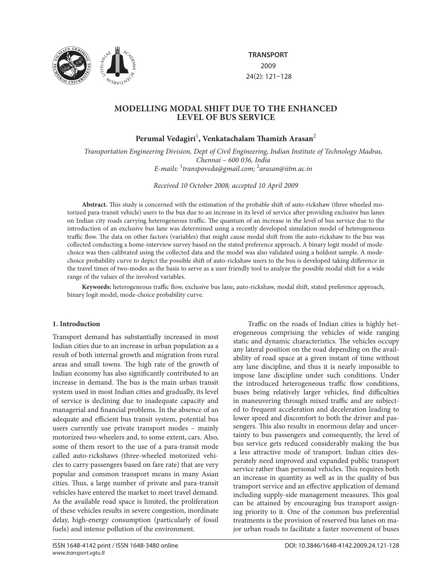

**TRANSPORT** 2009 24(2): 121–128

# **MODELLING MODAL SHIFT DUE TO THE ENHANCED LEVEL OF BUS SERVICE**

# Perumal Vedagiri<sup>1</sup>, Venkatachalam Thamizh Arasan<sup>2</sup>

*Transportation Engineering Division, Dept of Civil Engineering, Indian Institute of Technology Madras, Chennai – 600 036, India E-mails:* <sup>1</sup> *transpoveda@gmail.com;* <sup>2</sup> *arasan@iitm.ac.in*

*Received 10 October 2008; accepted 10 April 2009*

Abstract. This study is concerned with the estimation of the probable shift of auto-rickshaw (three wheeled motorized para-transit vehicle) users to the bus due to an increase in its level of service after providing exclusive bus lanes on Indian city roads carrying heterogeneous traffic. The quantum of an increase in the level of bus service due to the introduction of an exclusive bus lane was determined using a recently developed simulation model of heterogeneous traffic flow. The data on other factors (variables) that might cause modal shift from the auto-rickshaw to the bus was collected conducting a home-interview survey based on the stated preference approach. A binary logit model of modechoice was then calibrated using the collected data and the model was also validated using a holdout sample. A modechoice probability curve to depict the possible shift of auto-rickshaw users to the bus is developed taking difference in the travel times of two-modes as the basis to serve as a user friendly tool to analyze the possible modal shift for a wide range of the values of the involved variables.

Keywords: heterogeneous traffic flow, exclusive bus lane, auto-rickshaw, modal shift, stated preference approach, binary logit model, mode-choice probability curve.

## **1. Introduction**

Transport demand has substantially increased in most Indian cities due to an increase in urban population as a result of both internal growth and migration from rural areas and small towns. The high rate of the growth of Indian economy has also significantly contributed to an increase in demand. The bus is the main urban transit system used in most Indian cities and gradually, its level of service is declining due to inadequate capacity and managerial and financial problems. In the absence of an adequate and efficient bus transit system, potential bus users currently use private transport modes – mainly motorized two-wheelers and, to some extent, cars. Also, some of them resort to the use of a para-transit mode called auto-rickshaws (three-wheeled motorized vehicles to carry passengers based on fare rate) that are very popular and common transport means in many Asian cities. Thus, a large number of private and para-transit vehicles have entered the market to meet travel demand. As the available road space is limited, the proliferation of these vehicles results in severe congestion, inordinate delay, high-energy consumption (particularly of fossil fuels) and intense pollution of the environment.

erogeneous comprising the vehicles of wide ranging static and dynamic characteristics. The vehicles occupy any lateral position on the road depending on the availability of road space at a given instant of time without any lane discipline, and thus it is nearly impossible to impose lane discipline under such conditions. Under the introduced heterogeneous traffic flow conditions, buses being relatively larger vehicles, find difficulties in maneuvering through mixed traffic and are subjected to frequent acceleration and deceleration leading to lower speed and discomfort to both the driver and passengers. This also results in enormous delay and uncertainty to bus passengers and consequently, the level of bus service gets reduced considerably making the bus a less attractive mode of transport. Indian cities desperately need improved and expanded public transport service rather than personal vehicles. This requires both an increase in quantity as well as in the quality of bus transport service and an effective application of demand including supply-side management measures. This goal can be attained by encouraging bus transport assigning priority to it. One of the common bus preferential treatments is the provision of reserved bus lanes on major urban roads to facilitate a faster movement of buses

Traffic on the roads of Indian cities is highly het-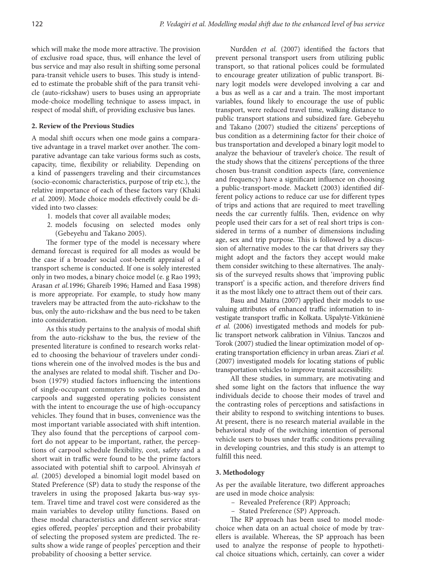which will make the mode more attractive. The provision of exclusive road space, thus, will enhance the level of bus service and may also result in shifting some personal para-transit vehicle users to buses. This study is intended to estimate the probable shift of the para transit vehicle (auto-rickshaw) users to buses using an appropriate mode-choice modelling technique to assess impact, in respect of modal shift, of providing exclusive bus lanes.

#### **2. Review of the Previous Studies**

A modal shift occurs when one mode gains a comparative advantage in a travel market over another. The comparative advantage can take various forms such as costs, capacity, time, flexibility or reliability. Depending on a kind of passengers traveling and their circumstances (socio-economic characteristics, purpose of trip etc.), the relative importance of each of these factors vary (Khaki et al. 2009). Mode choice models effectively could be divided into two classes:

- 1. models that cover all available modes;
- 2. models focusing on selected modes only (Gebeyehu and Takano 2005).

The former type of the model is necessary where demand forecast is required for all modes as would be the case if a broader social cost-benefit appraisal of a transport scheme is conducted. If one is solely interested only in two modes, a binary choice model (e. g Rao 1993; Arasan *et al.*1996; Ghareib 1996; Hamed and Easa 1998) is more appropriate. For example, to study how many travelers may be attracted from the auto-rickshaw to the bus, only the auto-rickshaw and the bus need to be taken into consideration.

As this study pertains to the analysis of modal shift from the auto-rickshaw to the bus, the review of the presented literature is confined to research works related to choosing the behaviour of travelers under conditions wherein one of the involved modes is the bus and the analyses are related to modal shift. Tischer and Dobson (1979) studied factors influencing the intentions of single-occupant commuters to switch to buses and carpools and suggested operating policies consistent with the intent to encourage the use of high-occupancy vehicles. They found that in buses, convenience was the most important variable associated with shift intention. They also found that the perceptions of carpool comfort do not appear to be important, rather, the perceptions of carpool schedule flexibility, cost, safety and a short wait in traffic were found to be the prime factors associated with potential shift to carpool. Alvinsyah *et al*. (2005) developed a binomial logit model based on Stated Preference (SP) data to study the response of the travelers in using the proposed Jakarta bus-way system. Travel time and travel cost were considered as the main variables to develop utility functions. Based on these modal characteristics and different service strategies offered, peoples' perception and their probability of selecting the proposed system are predicted. The results show a wide range of peoples' perception and their probability of choosing a better service.

Nurdden et al. (2007) identified the factors that prevent personal transport users from utilizing public transport, so that rational polices could be formulated to encourage greater utilization of public transport. Binary logit models were developed involving a car and a bus as well as a car and a train. The most important variables, found likely to encourage the use of public transport, were reduced travel time, walking distance to public transport stations and subsidized fare. Gebeyehu and Takano (2007) studied the citizens' perceptions of bus condition as a determining factor for their choice of bus transportation and developed a binary logit model to analyze the behaviour of traveler's choice. The result of the study shows that the citizens' perceptions of the three chosen bus-transit condition aspects (fare, convenience and frequency) have a significant influence on choosing a public-transport-mode. Mackett (2003) identified different policy actions to reduce car use for different types of trips and actions that are required to meet travelling needs the car currently fulfils. Then, evidence on why people used their cars for a set of real short trips is considered in terms of a number of dimensions including age, sex and trip purpose. This is followed by a discussion of alternative modes to the car that drivers say they might adopt and the factors they accept would make them consider switching to these alternatives. The analysis of the surveyed results shows that 'improving public transport' is a specific action, and therefore drivers find it as the most likely one to attract them out of their cars.

Basu and Maitra (2007) applied their models to use valuing attributes of enhanced traffic information to investigate transport traffic in Kolkata. Ušpalytė-Vitkūnienė *et al.* (2006) investigated methods and models for public transport network calibration in Vilnius. Tanczos and Torok (2007) studied the linear optimization model of operating transportation efficiency in urban areas. Ziari et al. (2007) investigated models for locating stations of public transportation vehicles to improve transit accessibility.

All these studies, in summary, are motivating and shed some light on the factors that influence the way individuals decide to choose their modes of travel and the contrasting roles of perceptions and satisfactions in their ability to respond to switching intentions to buses. At present, there is no research material available in the behavioral study of the switching intention of personal vehicle users to buses under traffic conditions prevailing in developing countries, and this study is an attempt to fulfill this need.

#### **3. Methodology**

As per the available literature, two different approaches are used in mode choice analysis:

- Revealed Preference (RP) Approach;
- Stated Preference (SP) Approach.

The RP approach has been used to model modechoice when data on an actual choice of mode by travellers is available. Whereas, the SP approach has been used to analyze the response of people to hypothetical choice situations which, certainly, can cover a wider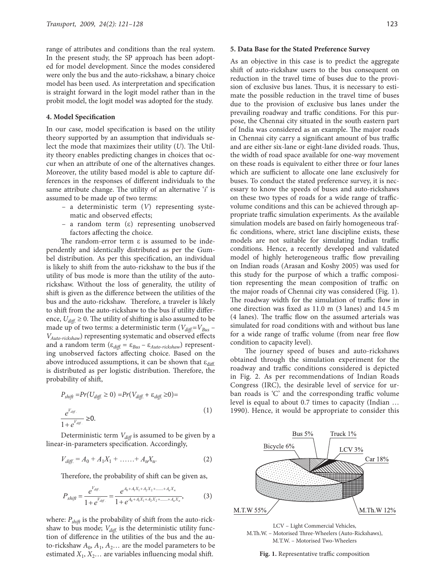range of attributes and conditions than the real system. In the present study, the SP approach has been adopted for model development. Since the modes considered were only the bus and the auto-rickshaw, a binary choice model has been used. As interpretation and specification is straight forward in the logit model rather than in the probit model, the logit model was adopted for the study.

#### **4. Model Specification**

In our case, model specification is based on the utility theory supported by an assumption that individuals select the mode that maximizes their utility (*U*). The Utility theory enables predicting changes in choices that occur when an attribute of one of the alternatives changes. Moreover, the utility based model is able to capture differences in the responses of different individuals to the same attribute change. The utility of an alternative '*i*' is assumed to be made up of two terms:

- a deterministic term (*V*) representing systematic and observed effects;
- a random term (ε) representing unobserved factors affecting the choice.

The random-error term  $\varepsilon$  is assumed to be independently and identically distributed as per the Gumbel distribution. As per this specification, an individual is likely to shift from the auto-rickshaw to the bus if the utility of bus mode is more than the utility of the autorickshaw. Without the loss of generality, the utility of shift is given as the difference between the utilities of the bus and the auto-rickshaw. Therefore, a traveler is likely to shift from the auto-rickshaw to the bus if utility difference,  $U_{\text{diff}} \geq 0$ . The utility of shifting is also assumed to be made up of two terms: a deterministic term ( $V_{\text{diff}}$ = $V_{\text{Bus}}$  – *V*<sub>Auto-rickshaw</sub>) representing systematic and observed effects and a random term (ε*diff .* = ε*Bus* – ε*Auto-rickshaw*) representing unobserved factors affecting choice. Based on the above introduced assumptions, it can be shown that  $\varepsilon_{\text{diff}}$ . is distributed as per logistic distribution. Therefore, the probability of shift,

$$
P_{shift} = Pr(U_{diff.} \ge 0) = Pr(V_{diff.} + \varepsilon_{diff.} \ge 0) =
$$
  

$$
\frac{e^{V_{diff.}}}{1 + e^{V_{diff.}}} \ge 0.
$$
 (1)

Deterministic term  $V_{diff}$  is assumed to be given by a linear-in-parameters specification. Accordingly,

$$
V_{\text{diff.}} = A_0 + A_1 X_1 + \dots + A_n X_n. \tag{2}
$$

Therefore, the probability of shift can be given as,

$$
P_{shift} = \frac{e^{V_{diff}}}{1 + e^{V_{diff}}} = \frac{e^{A_0 + A_1 X_1 + A_2 X_2 + \dots + A_n X_n}}{1 + e^{A_0 + A_1 X_1 + A_2 X_2 + \dots + A_n X_n}},
$$
(3)

where:  $P_{\text{shift}}$  is the probability of shift from the auto-rickshaw to bus mode;  $V_{\textit{diff.}}$  is the deterministic utility function of difference in the utilities of the bus and the auto-rickshaw  $A_0$ ,  $A_1$ ,  $A_2$ ... are the model parameters to be estimated  $X_1, X_2...$  are variables influencing modal shift.

#### **5. Data Base for the Stated Preference Survey**

As an objective in this case is to predict the aggregate shift of auto-rickshaw users to the bus consequent on reduction in the travel time of buses due to the provision of exclusive bus lanes. Thus, it is necessary to estimate the possible reduction in the travel time of buses due to the provision of exclusive bus lanes under the prevailing roadway and traffic conditions. For this purpose, the Chennai city situated in the south eastern part of India was considered as an example. The major roads in Chennai city carry a significant amount of bus traffic and are either six-lane or eight-lane divided roads. Thus, the width of road space available for one-way movement on these roads is equivalent to either three or four lanes which are sufficient to allocate one lane exclusively for buses. To conduct the stated preference survey, it is necessary to know the speeds of buses and auto-rickshaws on these two types of roads for a wide range of trafficvolume conditions and this can be achieved through appropriate traffic simulation experiments. As the available simulation models are based on fairly homogeneous traffic conditions, where, strict lane discipline exists, these models are not suitable for simulating Indian traffic conditions. Hence, a recently developed and validated model of highly heterogeneous traffic flow prevailing on Indian roads (Arasan and Koshy 2005) was used for this study for the purpose of which a traffic composition representing the mean composition of traffic on the major roads of Chennai city was considered (Fig. 1). The roadway width for the simulation of traffic flow in one direction was fixed as 11.0 m (3 lanes) and 14.5 m  $(4 \text{ lanes})$ . The traffic flow on the assumed arterials was simulated for road conditions with and without bus lane for a wide range of traffic volume (from near free flow condition to capacity level).

The journey speed of buses and auto-rickshaws obtained through the simulation experiment for the roadway and traffic conditions considered is depicted in Fig. 2. As per recommendations of Indian Roads Congress (IRC), the desirable level of service for urban roads is  $C'$  and the corresponding traffic volume level is equal to about 0.7 times to capacity (Indian … 1990). Hence, it would be appropriate to consider this



LCV – Light Commercial Vehicles, M.Th.W. - Motorised Three-Wheelers (Auto-Rickshaws), M.T.W. – Motorised Two-Wheelers

Fig. 1. Representative traffic composition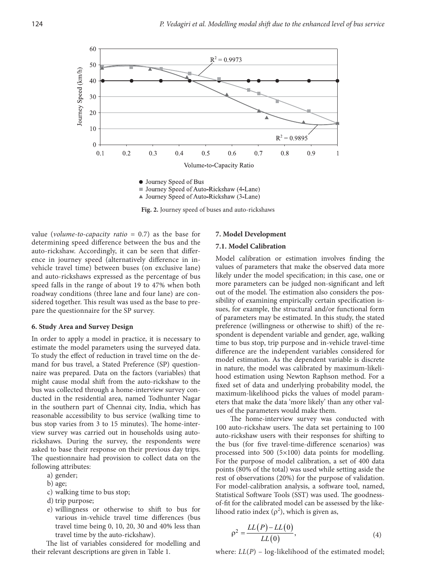

▲ Journey Speed of Auto-Rickshaw (3-Lane)

**Fig. 2.** Journey speed of buses and auto-rickshaws

value (*volume-to-capacity ratio* = 0.7) as the base for determining speed difference between the bus and the auto-rickshaw. Accordingly, it can be seen that difference in journey speed (alternatively difference in invehicle travel time) between buses (on exclusive lane) and auto-rickshaws expressed as the percentage of bus speed falls in the range of about 19 to 47% when both roadway conditions (three lane and four lane) are considered together. This result was used as the base to prepare the questionnaire for the SP survey.

#### **6. Study Area and Survey Design**

In order to apply a model in practice, it is necessary to estimate the model parameters using the surveyed data. To study the effect of reduction in travel time on the demand for bus travel, a Stated Preference (SP) questionnaire was prepared. Data on the factors (variables) that might cause modal shift from the auto-rickshaw to the bus was collected through a home-interview survey conducted in the residential area, named Todhunter Nagar in the southern part of Chennai city, India, which has reasonable accessibility to bus service (walking time to bus stop varies from 3 to 15 minutes). The home-interview survey was carried out in households using autorickshaws. During the survey, the respondents were asked to base their response on their previous day trips. The questionnaire had provision to collect data on the following attributes:

- a) gender;
- b) age;
- c) walking time to bus stop;
- d) trip purpose;
- e) willingness or otherwise to shift to bus for various in-vehicle travel time differences (bus travel time being 0, 10, 20, 30 and 40% less than travel time by the auto-rickshaw).

The list of variables considered for modelling and their relevant descriptions are given in Table 1.

#### **7. Model Development**

#### **7.1. Model Calibration**

Model calibration or estimation involves finding the values of parameters that make the observed data more likely under the model specification; in this case, one or more parameters can be judged non-significant and left out of the model. The estimation also considers the possibility of examining empirically certain specification issues, for example, the structural and/or functional form of parameters may be estimated. In this study, the stated preference (willingness or otherwise to shift) of the respondent is dependent variable and gender, age, walking time to bus stop, trip purpose and in-vehicle travel-time difference are the independent variables considered for model estimation. As the dependent variable is discrete in nature, the model was calibrated by maximum-likelihood estimation using Newton Raphson method. For a fixed set of data and underlying probability model, the maximum-likelihood picks the values of model parameters that make the data 'more likely' than any other values of the parameters would make them.

The home-interview survey was conducted with 100 auto-rickshaw users. The data set pertaining to 100 auto-rickshaw users with their responses for shifting to the bus (for five travel-time-difference scenarios) was processed into 500 (5×100) data points for modelling. For the purpose of model calibration, a set of 400 data points (80% of the total) was used while setting aside the rest of observations (20%) for the purpose of validation. For model-calibration analysis, a software tool, named, Statistical Software Tools (SST) was used. The goodnessof-fit for the calibrated model can be assessed by the likelihood ratio index ( $\rho^2$ ), which is given as,

$$
\rho^2 = \frac{LL(P) - LL(0)}{LL(0)},\tag{4}
$$

where:  $LL(P)$  – log-likelihood of the estimated model;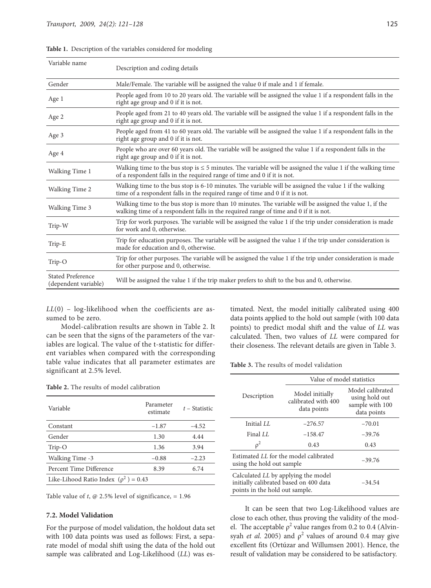| Variable name                             | Description and coding details                                                                                                                                                                  |
|-------------------------------------------|-------------------------------------------------------------------------------------------------------------------------------------------------------------------------------------------------|
| Gender                                    | Male/Female. The variable will be assigned the value 0 if male and 1 if female.                                                                                                                 |
| Age 1                                     | People aged from 10 to 20 years old. The variable will be assigned the value 1 if a respondent falls in the<br>right age group and 0 if it is not.                                              |
| Age 2                                     | People aged from 21 to 40 years old. The variable will be assigned the value 1 if a respondent falls in the<br>right age group and 0 if it is not.                                              |
| Age 3                                     | People aged from 41 to 60 years old. The variable will be assigned the value 1 if a respondent falls in the<br>right age group and 0 if it is not.                                              |
| Age 4                                     | People who are over 60 years old. The variable will be assigned the value 1 if a respondent falls in the<br>right age group and 0 if it is not.                                                 |
| Walking Time 1                            | Walking time to the bus stop is $\leq$ 5 minutes. The variable will be assigned the value 1 if the walking time<br>of a respondent falls in the required range of time and 0 if it is not.      |
| <b>Walking Time 2</b>                     | Walking time to the bus stop is 6-10 minutes. The variable will be assigned the value 1 if the walking<br>time of a respondent falls in the required range of time and 0 if it is not.          |
| Walking Time 3                            | Walking time to the bus stop is more than 10 minutes. The variable will be assigned the value 1, if the<br>walking time of a respondent falls in the required range of time and 0 if it is not. |
| Trip-W                                    | Trip for work purposes. The variable will be assigned the value 1 if the trip under consideration is made<br>for work and 0, otherwise.                                                         |
| Trip-E                                    | Trip for education purposes. The variable will be assigned the value 1 if the trip under consideration is<br>made for education and 0, otherwise.                                               |
| Trip-O                                    | Trip for other purposes. The variable will be assigned the value 1 if the trip under consideration is made<br>for other purpose and 0, otherwise.                                               |
| Stated Preference<br>(dependent variable) | Will be assigned the value 1 if the trip maker prefers to shift to the bus and 0, otherwise.                                                                                                    |

**Table 1.** Description of the variables considered for modeling

 $LL(0)$  – log-likelihood when the coefficients are assumed to be zero.

Model-calibration results are shown in Table 2. It can be seen that the signs of the parameters of the variables are logical. The value of the t-statistic for different variables when compared with the corresponding table value indicates that all parameter estimates are significant at 2.5% level.

**Table 2.** The results of model calibration

timated. Next, the model initially calibrated using 400 data points applied to the hold out sample (with 100 data points) to predict modal shift and the value of *LL* was calculated. Then, two values of *LL* were compared for their closeness. The relevant details are given in Table 3.

**Table 3.** The results of model validation

| Variable                                  | Parameter<br>estimate | $t$ – Statistic |
|-------------------------------------------|-----------------------|-----------------|
| Constant                                  | $-1.87$               | $-4.52$         |
| Gender                                    | 1.30                  | 4.44            |
| Trip-O                                    | 1.36                  | 3.94            |
| Walking Time -3                           | $-0.88$               | $-2.23$         |
| Percent Time Difference                   | 8.39                  | 6.74            |
| Like-Lihood Ratio Index $(\rho^2) = 0.43$ |                       |                 |
|                                           |                       |                 |

Table value of  $t$ ,  $\omega$  2.5% level of significance, = 1.96

#### **7.2. Model Validation**

For the purpose of model validation, the holdout data set with 100 data points was used as follows: First, a separate model of modal shift using the data of the hold out sample was calibrated and Log-Likelihood (*LL*) was es-

|                                                                                                                 | Value of model statistics                             |                                                                      |  |  |
|-----------------------------------------------------------------------------------------------------------------|-------------------------------------------------------|----------------------------------------------------------------------|--|--|
| Description                                                                                                     | Model initially<br>calibrated with 400<br>data points | Model calibrated<br>using hold out<br>sample with 100<br>data points |  |  |
| Initial <i>I.I.</i>                                                                                             | $-276.57$                                             | $-70.01$                                                             |  |  |
| Final LL                                                                                                        | $-158.47$                                             | $-39.76$                                                             |  |  |
| $\rho^2$                                                                                                        | 0.43                                                  | 0.43                                                                 |  |  |
| Estimated LL for the model calibrated<br>using the hold out sample                                              | $-39.76$                                              |                                                                      |  |  |
| Calculated LL by applying the model<br>initially calibrated based on 400 data<br>points in the hold out sample. | $-34.54$                                              |                                                                      |  |  |

It can be seen that two Log-Likelihood values are close to each other, thus proving the validity of the model. The acceptable  $\rho^2$  value ranges from 0.2 to 0.4 (Alvinsyah *et al.* 2005) and  $\rho^2$  values of around 0.4 may give excellent fits (Ortúzar and Willumsen 2001). Hence, the result of validation may be considered to be satisfactory.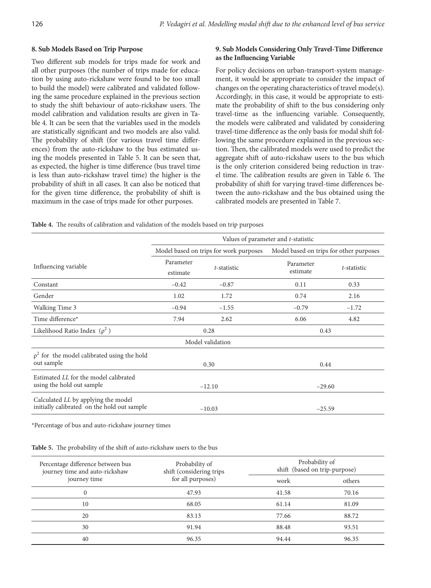### **8. Sub Models Based on Trip Purpose**

Two different sub models for trips made for work and all other purposes (the number of trips made for education by using auto-rickshaw were found to be too small to build the model) were calibrated and validated following the same procedure explained in the previous section to study the shift behaviour of auto-rickshaw users. The model calibration and validation results are given in Table 4. It can be seen that the variables used in the models are statistically significant and two models are also valid. The probability of shift (for various travel time differences) from the auto-rickshaw to the bus estimated using the models presented in Table 5. It can be seen that, as expected, the higher is time difference (bus travel time is less than auto-rickshaw travel time) the higher is the probability of shift in all cases. It can also be noticed that for the given time difference, the probability of shift is maximum in the case of trips made for other purposes.

## **9. Sub Models Considering Only Travel-Time Difference** as the Influencing Variable

For policy decisions on urban-transport-system management, it would be appropriate to consider the impact of changes on the operating characteristics of travel mode(s). Accordingly, in this case, it would be appropriate to estimate the probability of shift to the bus considering only travel-time as the influencing variable. Consequently, the models were calibrated and validated by considering travel-time difference as the only basis for modal shift following the same procedure explained in the previous section. Then, the calibrated models were used to predict the aggregate shift of auto-rickshaw users to the bus which is the only criterion considered being reduction in travel time. The calibration results are given in Table 6. The probability of shift for varying travel-time differences between the auto-rickshaw and the bus obtained using the calibrated models are presented in Table 7.

| Table 4. The results of calibration and validation of the models based on trip purposes |
|-----------------------------------------------------------------------------------------|
|-----------------------------------------------------------------------------------------|

|                                                                                    | Values of parameter and <i>t</i> -statistic |             |                                         |             |  |
|------------------------------------------------------------------------------------|---------------------------------------------|-------------|-----------------------------------------|-------------|--|
|                                                                                    | Model based on trips for work purposes      |             | Model based on trips for other purposes |             |  |
| Influencing variable                                                               | Parameter<br>estimate                       | t-statistic | Parameter<br>estimate                   | t-statistic |  |
| Constant                                                                           | $-0.42$                                     | $-0.87$     | 0.11                                    | 0.33        |  |
| Gender                                                                             | 1.02                                        | 1.72        | 0.74                                    | 2.16        |  |
| Walking Time 3                                                                     | $-0.94$                                     | $-1.55$     | $-0.79$                                 | $-1.72$     |  |
| Time difference*                                                                   | 7.94                                        | 2.62        | 6.06                                    | 4.82        |  |
| Likelihood Ratio Index $(\rho^2)$                                                  | 0.28                                        |             | 0.43                                    |             |  |
| Model validation                                                                   |                                             |             |                                         |             |  |
| $\rho^2$ for the model calibrated using the hold<br>out sample                     |                                             | 0.30        | 0.44                                    |             |  |
| Estimated LL for the model calibrated<br>using the hold out sample                 | $-12.10$                                    |             | $-29.60$                                |             |  |
| Calculated LL by applying the model<br>initially calibrated on the hold out sample |                                             | $-10.03$    | $-25.59$                                |             |  |

\*Percentage of bus and auto-rickshaw journey times

Table 5. The probability of the shift of auto-rickshaw users to the bus

| Percentage difference between bus<br>journey time and auto-rickshaw<br>journey time | Probability of<br>shift (considering trips<br>for all purposes) | Probability of<br>shift (based on trip-purpose) |        |  |
|-------------------------------------------------------------------------------------|-----------------------------------------------------------------|-------------------------------------------------|--------|--|
|                                                                                     |                                                                 | work                                            | others |  |
| 0                                                                                   | 47.93                                                           | 41.58                                           | 70.16  |  |
| 10                                                                                  | 68.05                                                           | 61.14                                           | 81.09  |  |
| 20                                                                                  | 83.13                                                           | 77.66                                           | 88.72  |  |
| 30                                                                                  | 91.94                                                           | 88.48                                           | 93.51  |  |
| 40                                                                                  | 96.35                                                           | 94.44                                           | 96.35  |  |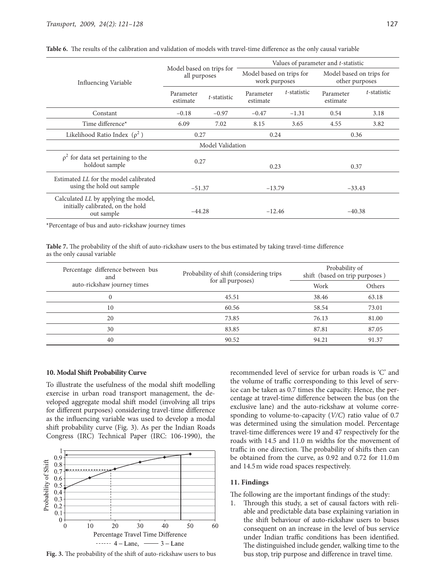|                                                                                         | Model based on trips for<br>all purposes |             | Values of parameter and <i>t</i> -statistic |             |                                            |             |
|-----------------------------------------------------------------------------------------|------------------------------------------|-------------|---------------------------------------------|-------------|--------------------------------------------|-------------|
| Influencing Variable                                                                    |                                          |             | Model based on trips for<br>work purposes   |             | Model based on trips for<br>other purposes |             |
|                                                                                         | Parameter<br>estimate                    | t-statistic | Parameter<br>estimate                       | t-statistic | Parameter<br>estimate                      | t-statistic |
| Constant                                                                                | $-0.18$                                  | $-0.97$     | $-0.47$                                     | $-1.31$     | 0.54                                       | 3.18        |
| Time difference*                                                                        | 6.09                                     | 7.02        | 8.15                                        | 3.65        | 4.55                                       | 3.82        |
| Likelihood Ratio Index $(\rho^2)$                                                       | 0.27                                     |             | 0.24                                        |             | 0.36                                       |             |
| Model Validation                                                                        |                                          |             |                                             |             |                                            |             |
| $\rho^2$ for data set pertaining to the<br>holdout sample                               | 0.27                                     |             | 0.23                                        |             | 0.37                                       |             |
| Estimated LL for the model calibrated<br>using the hold out sample                      | $-51.37$                                 |             | $-13.79$                                    |             | $-33.43$                                   |             |
| Calculated LL by applying the model,<br>initially calibrated, on the hold<br>out sample | $-44.28$                                 |             | $-12.46$                                    |             | $-40.38$                                   |             |

Table 6. The results of the calibration and validation of models with travel-time difference as the only causal variable

\*Percentage of bus and auto-rickshaw journey times

Table 7. The probability of the shift of auto-rickshaw users to the bus estimated by taking travel-time difference as the only causal variable

| Percentage difference between bus<br>and | Probability of shift (considering trips | Probability of<br>shift (based on trip purposes) |        |  |
|------------------------------------------|-----------------------------------------|--------------------------------------------------|--------|--|
| auto-rickshaw journey times              | for all purposes)                       | Work                                             | Others |  |
|                                          | 45.51                                   | 38.46                                            | 63.18  |  |
| 10                                       | 60.56                                   | 58.54                                            | 73.01  |  |
| 20                                       | 73.85                                   | 76.13                                            | 81.00  |  |
| 30                                       | 83.85                                   | 87.81                                            | 87.05  |  |
| 40                                       | 90.52                                   | 94.21                                            | 91.37  |  |

### **10. Modal Shift Probability Curve**

To illustrate the usefulness of the modal shift modelling exercise in urban road transport management, the developed aggregate modal shift model (involving all trips for different purposes) considering travel-time difference as the influencing variable was used to develop a modal shift probability curve (Fig. 3). As per the Indian Roads Congress (IRC) Technical Paper (IRC: 106-1990), the



Fig. 3. The probability of the shift of auto-rickshaw users to bus

recommended level of service for urban roads is 'C' and the volume of traffic corresponding to this level of service can be taken as 0.7 times the capacity. Hence, the percentage at travel-time difference between the bus (on the exclusive lane) and the auto-rickshaw at volume corresponding to volume-to-capacity (*V/C*) ratio value of 0.7 was determined using the simulation model. Percentage travel-time differences were 19 and 47 respectively for the roads with 14.5 and 11.0 m widths for the movement of traffic in one direction. The probability of shifts then can be obtained from the curve, as 0.92 and 0.72 for 11.0 m and 14.5 m wide road spaces respectively.

#### **11. Findings**

The following are the important findings of the study:

1. Through this study, a set of causal factors with reliable and predictable data base explaining variation in the shift behaviour of auto-rickshaw users to buses consequent on an increase in the level of bus service under Indian traffic conditions has been identified. The distinguished include gender, walking time to the bus stop, trip purpose and difference in travel time.